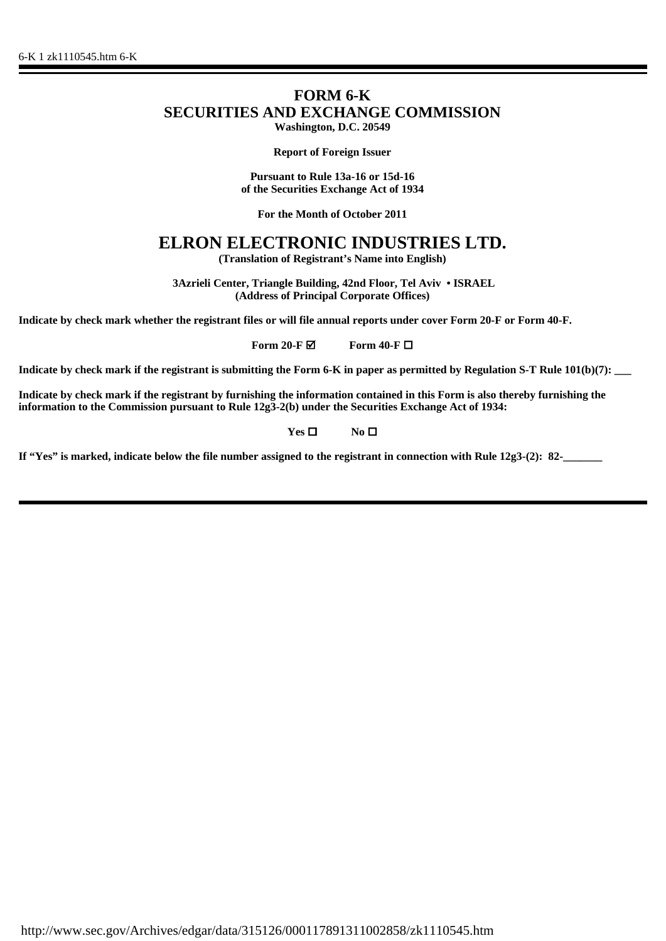## **FORM 6-K SECURITIES AND EXCHANGE COMMISSION Washington, D.C. 20549**

**Report of Foreign Issuer**

**Pursuant to Rule 13a-16 or 15d-16 of the Securities Exchange Act of 1934**

**For the Month of October 2011**

## **ELRON ELECTRONIC INDUSTRIES LTD.**

**(Translation of Registrant's Name into English)**

 **3Azrieli Center, Triangle Building, 42nd Floor, Tel Aviv • ISRAEL (Address of Principal Corporate Offices)**

**Indicate by check mark whether the registrant files or will file annual reports under cover Form 20-F or Form 40-F.**

**Form 20-F Ø** Form 40-F □

**Indicate by check mark if the registrant is submitting the Form 6-K in paper as permitted by Regulation S-T Rule 101(b)(7):** 

**Indicate by check mark if the registrant by furnishing the information contained in this Form is also thereby furnishing the information to the Commission pursuant to Rule 12g3-2(b) under the Securities Exchange Act of 1934:**

**Yes □** No **□** 

**If "Yes" is marked, indicate below the file number assigned to the registrant in connection with Rule 12g3-(2): 82-\_\_\_\_\_\_\_**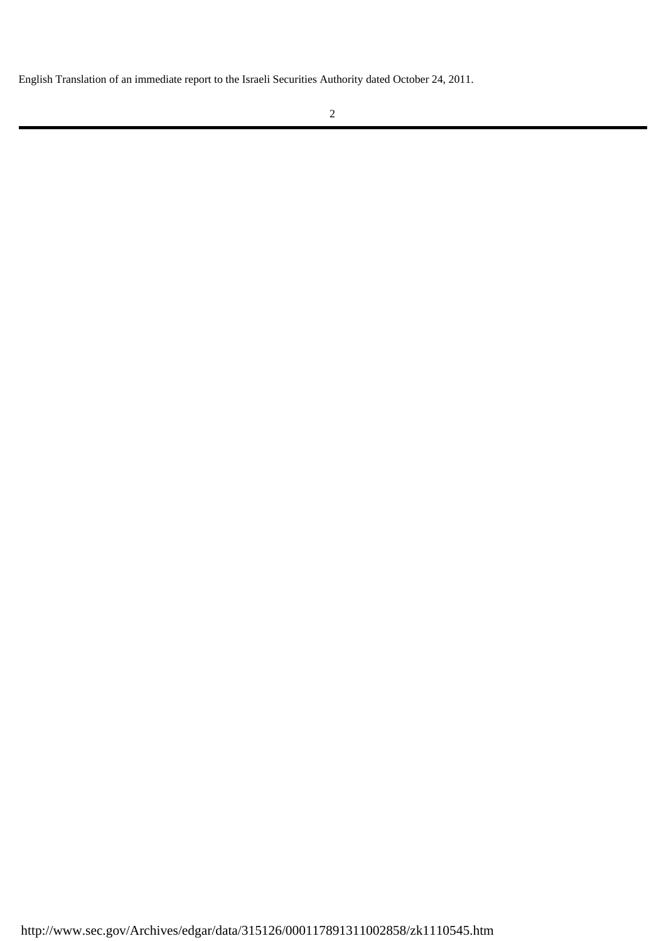English Translation of an immediate report to the Israeli Securities Authority dated October 24, 2011.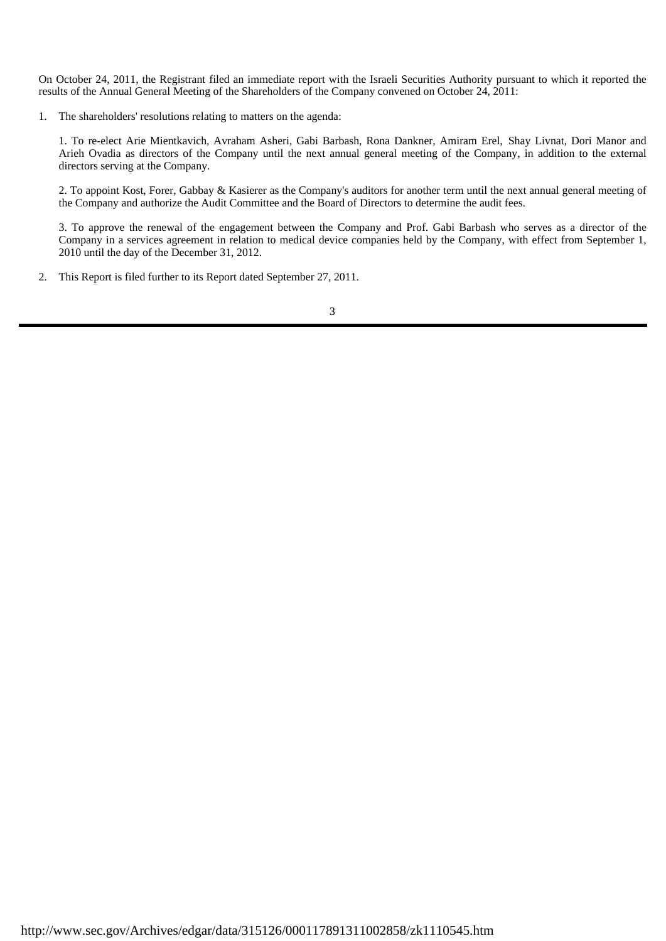On October 24, 2011, the Registrant filed an immediate report with the Israeli Securities Authority pursuant to which it reported the results of the Annual General Meeting of the Shareholders of the Company convened on October 24, 2011:

1. The shareholders' resolutions relating to matters on the agenda:

1. To re-elect Arie Mientkavich, Avraham Asheri, Gabi Barbash, Rona Dankner, Amiram Erel, Shay Livnat, Dori Manor and Arieh Ovadia as directors of the Company until the next annual general meeting of the Company, in addition to the external directors serving at the Company.

2. To appoint Kost, Forer, Gabbay & Kasierer as the Company's auditors for another term until the next annual general meeting of the Company and authorize the Audit Committee and the Board of Directors to determine the audit fees.

3. To approve the renewal of the engagement between the Company and Prof. Gabi Barbash who serves as a director of the Company in a services agreement in relation to medical device companies held by the Company, with effect from September 1, 2010 until the day of the December 31, 2012.

2. This Report is filed further to its Report dated September 27, 2011.

3